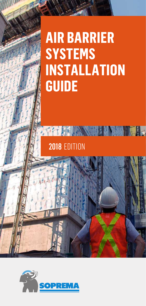# **AIR BARRIER SYSTEMS INSTALLATION GUIDE**

**THE REAL PROPERTY AND RELEASED FOR THE REAL PROPERTY.** 

2018 EDITION

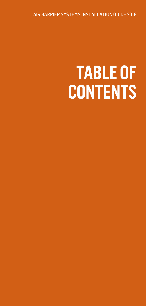AIR BARRIER SYSTEMS INSTALLATION GUIDE 2018

# **TABLE OF CONTENTS**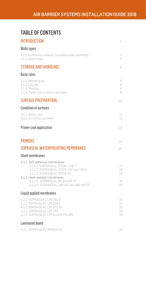# TABLE OF CONTENTS

| <b>INTRODUCTION</b>                                                                                                                                                                                                                                      | 5                          |
|----------------------------------------------------------------------------------------------------------------------------------------------------------------------------------------------------------------------------------------------------------|----------------------------|
| <b>Walls types</b>                                                                                                                                                                                                                                       |                            |
| 1.1.1 Continuous exterior insulated wall assembly<br>1.1.2 Hybrid wall                                                                                                                                                                                   | 7<br>7                     |
| <b>STORAGE AND HANDLING</b>                                                                                                                                                                                                                              | 8                          |
| <b>Basic rules</b>                                                                                                                                                                                                                                       |                            |
| 2.1.1. Membranes<br>2.1.2. Liquids<br>2.1.3. Mastics<br>2.1.4. Torch and propane gas tank                                                                                                                                                                | 9<br>9<br>9<br>9           |
| <b>SURFACE PREPARATION</b>                                                                                                                                                                                                                               | 10                         |
| <b>Condition of surfaces</b>                                                                                                                                                                                                                             |                            |
| 3.1.1. Basic rules<br>3.1.2. Concrete surfaces                                                                                                                                                                                                           | 11.<br>11                  |
| Primer coat application                                                                                                                                                                                                                                  | 12                         |
| <b>PRIMERS</b>                                                                                                                                                                                                                                           | 13                         |
| SOPRASEAL WATERPROOFING MEMBRANES                                                                                                                                                                                                                        | 15                         |
| <b>Sheet membranes</b>                                                                                                                                                                                                                                   |                            |
| 4.1.1. Self-adhesive membranes<br>4.1.1.1. SOPRASEAL STICK 1100 T<br>4.1.1.2. SOPRASEAL STICK 130 and 130 S<br>4.1.1.3. SOPRASEAL STICK VP<br>4.1.2. Heat-welded membranes<br>4.1.2.1. SOPRASEAL 60 and 60 FF<br>4.1.2.2, SOPRASEAL 180 HD and 180 HD FF | 17<br>18<br>18<br>19<br>20 |
| Liquid applied membranes                                                                                                                                                                                                                                 |                            |
| 4.2.1. SOPRASEAL LM 200 S<br>4.2.2. SOPRASEAL LM 200 T<br>4.2.3. SOPRASEAL LM 202 VP<br>4.2.4. SOPRASEAL LM 203<br>4.2.5. SOPRASEAL LM BLOCK FILLER                                                                                                      | 20<br>21<br>22<br>23<br>23 |
| Laminated board                                                                                                                                                                                                                                          |                            |
| 4.3.1. SOPRASEAL XPRESS G                                                                                                                                                                                                                                | 24                         |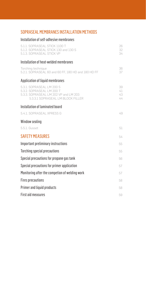# [SOPRASEAL MEMBRANES INSTALLATION METHODS](#page-24-0)

## Installation of self-adhesive membranes

| 5.1.1. SOPRASEAL STICK 1100 T<br>5.1.2. SOPRASEAL STICK 130 and 130 S<br>5.1.3. SOPRASEAL STICK VP                                   | 26<br>32<br>34       |
|--------------------------------------------------------------------------------------------------------------------------------------|----------------------|
| Installation of heat-welded membranes                                                                                                |                      |
| Torching technique<br>5.2.1. SOPRASEAL 60 and 60 FF, 180 HD and 180 HD FF                                                            | 36<br>37             |
| <b>Application of liquid membranes</b>                                                                                               |                      |
| 5.3.1. SOPRASEAL LM 200 S<br>5.3.2. SOPRASEAL LM 200 T<br>5.3.3. SOPRASEAL LM 202 VP and LM 203<br>5.3.3.1 SOPRASEAL LM BLOCK FILLER | 39<br>41<br>43<br>44 |
| Installation of laminated board                                                                                                      |                      |
| 5.4.1. SOPRASEAL XPRESS G                                                                                                            | 49                   |
| Window sealing                                                                                                                       |                      |
| 5.5.1. Gusset                                                                                                                        | 51                   |
| <b>SAFETY MEASURES</b>                                                                                                               | 54                   |
| Important preliminary instructions                                                                                                   | 55                   |
| <b>Torching special precautions</b>                                                                                                  | 55                   |
| Special precautions for propane gas tank                                                                                             | 56                   |
| Special precautions for primer application                                                                                           | 57                   |
| Monitoring after the competion of welding work                                                                                       | 57                   |
| <b>Fires precautions</b>                                                                                                             | 58                   |
| <b>Primer and liquid products</b>                                                                                                    | 58                   |
| <b>First aid measures</b>                                                                                                            | 59                   |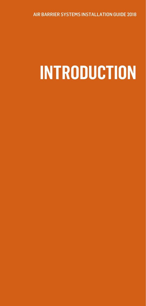<span id="page-4-0"></span>AIR BARRIER SYSTEMS INSTALLATION GUIDE 2018

# **INTRODUCTION**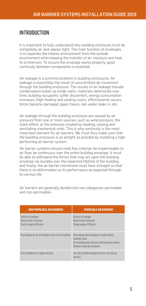# **INTRODUCTION**

It is important to fully understand why building enclosure must be completely air and vapour tight. The main function of envelopes is to separate the interior environment from the outside environment while keeping the transfer of air, moisture and heat to a minimum. To ensure the envelope works properly, good continuity between components is essential.

Air leakage is a common problem in building enclosures. Air leakage is essentially the result of uncontrolled air movement through the building enclosure. The results of air leakage include: condensation builds up inside walls, materials deteriorate over time, building occupants suffer discomfort, energy consumption increases (high heating and cooling costs), efflorescence occurs, bricks become damaged, pipes freeze, rain water leaks in, etc.

Air leakage through the building enclosure are caused by air pressure from one or more sources, such as wind pressure, the stack effect, or the pressure created by heating, cooling and ventilating mechanical units. This is why continuity is the most important element for air barriers. We must thus make sure that the building enclosure is as airtight as possible by installing a high performing air barrier system.

Air barrier systems should meet five criterias: be impermeable to air flow, be continuous over the entire building envelope, it must be able to withstand the forces that may act upon the building envelope, be durable over the expected lifetime of the building and finally, the air barrier membrane must have strength so that there is no deformation so its performance as expected through its service life.

| <b>NON-PERMEABLE AIR BARRIERS</b>                                          | <b>PERMEABLE AIR BARRIERS</b>                                                                                                                      |
|----------------------------------------------------------------------------|----------------------------------------------------------------------------------------------------------------------------------------------------|
| Resists air leakage<br>Resists water intrusion<br>Resists vapour diffusion | Resists air leakage<br>Resists water intrusion<br>Allows vapour diffusion                                                                          |
| Must always be set on the warm side of the insulation                      | Must always have insulation in wall cavities<br>hetween studs<br>Are installed onto exterior sheating when cavities<br>hetween studs are insulated |
| Are considered air/vapour barriers                                         | Are not considered vapour barriers, are only air<br>harriers                                                                                       |

Air barriers are generally divided into two categories: permeable and non-permeable.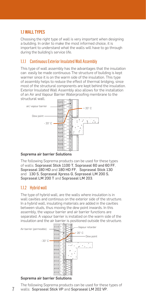# <span id="page-6-0"></span>1.1 WALL TYPES

Choosing the right type of wall is very important when designing a building. In order to make the most informed choice, it is important to understand what the walls will have to go through during the building's service life.

## 1.1.1 Continuous Exterior Insulated Wall Assembly

This type of wall assembly has the advantages that the insulation can easily be made continuous The structure of building is kept warmer since it is on the warm side of the insulation. This type of assembly helps to reduce the effect of thermal bridging, since most of the structural components are kept behind the insulation. Exterior Insulated Wall Assembly also allows for the installation of an Air and Vapour Barrier Waterproofing membrane to the structural wall.



#### Soprema air barrier Solutions

The following Soprema products can be used for these types of walls: Sopraseal Stick 1100 T, Sopraseal 60 and 60 FF, Sopraseal 180 HD and 180 HD FF, Sopraseal Stick 130 and 130 S, Sopraseal Xpress G, Sopraseal LM 200 S, Sopraseal LM 200 T and Sopraseal LM 203.

# 1.1.2 Hybrid wall

The type of hybrid wall, are the walls where insulation is in wall cavities and continous on the exterior side of the structure. In a hybrid wall, insulating materials are added in the cavities between studs, thus moving the dew point inwards. In this assembly, the vapour barrier and air barrier functions are separated. A vapour barrier is installed on the warm side of the insulation and the air barrier is positioned outside the structure.



#### Soprema air barrier Solutions

The following Soprema products can be used for these types of walls: Sopraseal Stick VP and Sopraseal LM 202 VP.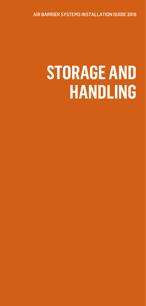<span id="page-7-0"></span>AIR BARRIER SYSTEMS INSTALLATION GUIDE 2018

# **STORAGE AND HANDLING**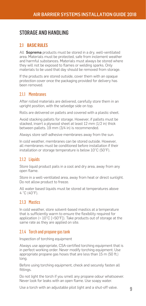# <span id="page-8-0"></span>STORAGE AND HANDLING

## 2.1 BASIC RULES

All Soprema products must be stored in a dry, well-ventilated area. Materials must be protected, safe from inclement weather and harmful substances. Materials must always be stored where they will not be exposed to flames or welding sparks. Only materials to be used that day should be removed from storage.

If the products are stored outside, cover them with an opaque protection cover once the packaging provided for delivery has been removed.

### 211 Memhranes

After rolled materials are delivered, carefully store them in an upright position, with the selvedge side on top.

Rolls are delivered on pallets and covered with a plastic sheet.

Avoid stacking pallets for storage. However, if pallets must be stacked, insert a plywood sheet at least 12 mm (1/2 in) thick between pallets. 19 mm (3/4 in) is recommended.

Always store self-adhesive membranes away from the sun.

In cold weather, membranes can be stored outside. However, all membranes must be conditioned before installation if their installation or storage temperature is below 10°C (50°F).

## 2.1.2 Liquids

Store liquid product pails in a cool and dry area, away from any open flame.

Store in a well-ventilated area, away from heat or direct sunlight. Do not allow product to freeze.

All water based liquids must be stored at temperatures above 4 °C (40°F).

## 2.1.3 Mastics

In cold weather, store solvent-based mastics at a temperature that is sufficiently warm to ensure the flexibility required for application ( $>10^{\circ}$ C [ $>50^{\circ}$ F]). Take products out of storage at the same rate as they are applied on site.

## 2.1.4 Torch and propane gas tank

Inspection of torching equipment

Always use appropriate, CSA-certified torching equipment that is in perfect working order. Never modify torching equipment. Use appropriate propane gas hoses that are less than 15 m (50 ft.) long.

Before using torching equipment, check and securely fasten all fittings.

Do not light the torch if you smell any propane odour whatsoever. Never look for leaks with an open flame. Use soapy water.

Use a torch with an adjustable pilot light and a shut-off valve.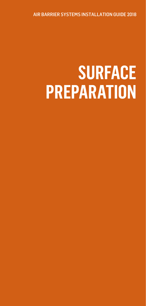<span id="page-9-0"></span>AIR BARRIER SYSTEMS INSTALLATION GUIDE 2018

# **SURFACE PREPARATION**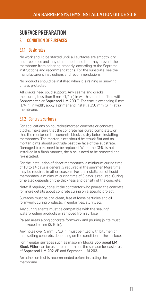# <span id="page-10-0"></span>SURFACE PREPARATION

## 3.1 CONDITION OF SURFACES

## 3.1.1 Basic rules

No work should be started until all surfaces are smooth, dry, and free of ice and any other substance that may prevent the membrane from adhering properly, according to the Soprema instructions and recommendations. For the substrate, see the manufacturer's instructions and recommendations.

No products should be installed when it is raining or snowing unless protected.

All cracks need solid support. Any seams and cracks measuring less than 6 mm (1/4 in) in width should be filled with Sopramastic or Sopraseal LM 200 T. For cracks exceeding 6 mm (1/4 in) in width, apply a primer and install a 150 mm (6 in) strip membrane.

## 3.1.2 Concrete surfaces

For applications on poured/reinforced concrete or concrete blocks, make sure that the concrete has cured completely or that the mortar on the concrete blocks is dry before installing membranes. The mortar joints should be struck flat and no mortar joints should protrude past the face of the substrate. Damaged blocks need to be replaced. When the CMU is not installed in a flush manner, the blocks need to be removed and re-installed.

For the installation of sheet membranes, a minimum curing time of 10 to 14 days is generally required in the summer. More time may be required in other seasons. For the installation of liquid membranes, a minimum curing time of 3 days is required. Curing time also depends on the thickness and density of the concrete.

Note: If required, consult the contractor who poured the concrete for more details about concrete curing on a specific project.

Surfaces must be dry, clean, free of loose particles and oil formwork, curing products, irregularities, slurry, etc.

Any curing agents must be compatible with the sealing/ waterproofing products or removed from surface.

Raised areas along concrete formwork and pouring joints must not exceed 5 mm (3/16 in).

Any holes over 5 mm (3/16 in) must be filled with bitumen or fast-setting concrete, depending on the condition of the surface.

For irregular surfaces such as masonry blocks Sopraseal LM Block Filler can be used to smooth out the surface for easier use of Sopraseal LM 202 VP and Sopraseal LM 203.

An adhesion test is recommended before installing the membrane.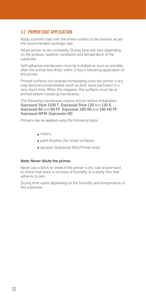# <span id="page-11-0"></span>3.2 PRIMER COAT APPLICATION

Apply a primer coat over the entire surface to be covered, as per the recommended coverage rate.

Allow primer to dry completly. Drying time will vary depending on the product, weather conditions and temperature of the substrate.

Self-adhesive membranes must be installed as soon as possible after the primer has dried, within 2 hours following application of the primer.

Primed surfaces not covered immediately once the primer is dry may become contaminated (such as dust, loose particles) in a very short time. When this happens, the surfaces must be reprimed before installing membranes.

The following membranes require primer before installation: Sopraseal Stick 1100 T, Sopraseal Stick 130 and 130 S, Sopraseal 60 and 60 FF, Sopraseal 180 HD and 180 HD FF, Sopraseal WFM, Soprasolin HD.

Primers can be applied using the following tools:

- rollers;
- paint brushes (for small surfaces);
- sprayed (Sopraseal Stick Primer only).

#### Note: Never dilute the primer.

Never use a torch to check if the primer is dry. Use a bare hand to check that there is no trace of humidity or a sticky film that adheres to skin.

Drying time varies depending on the humidity and temperature of the substrate.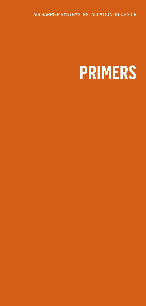<span id="page-12-0"></span>AIR BARRIER SYSTEMS INSTALLATION GUIDE 2018

# **PRIMERS**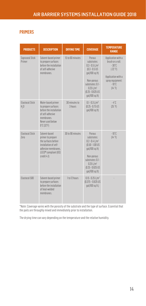## PRIMERS

| <b>PRODUCTS</b>                            | <b>DESCRIPTION</b>                                                                                                                                            | <b>DRYING TIME</b>       | <b>COVERAGE</b>                                                                                                                                                                                         | <b>TEMPERATURE</b><br><b>RANGE</b>                                                                                                                    |
|--------------------------------------------|---------------------------------------------------------------------------------------------------------------------------------------------------------------|--------------------------|---------------------------------------------------------------------------------------------------------------------------------------------------------------------------------------------------------|-------------------------------------------------------------------------------------------------------------------------------------------------------|
| Sopraseal Stick<br>Primer                  | Solvent-based primer<br>to prepare surfaces<br>hefore the installation<br>of self-adhesive<br>membranes.                                                      | 15 to 60 minutes         | <b>Pornus</b><br>substrates:<br>$0.3 - 0.5$ L/m <sup>2</sup><br>$(0.3 - 0.5$ US<br>gal/100 sq.ft)<br>Non-porous<br>substrates: 0.1 -<br>$0.25$ L/m <sup>2</sup><br>$(0.25 - 0.625$ US<br>gal/100 sq.ft) | Application with a<br>hrush or a roll:<br>$-30^{\circ}$ C<br>$(-22 \degree F)$<br>Application with a<br>spray equipment:<br>$-10^{\circ}$ C<br>(14°F) |
| <b>Flastocol Stick</b><br>H <sub>2</sub> 0 | Water-based primer<br>to prepare surfaces<br>hefore the installation<br>of self-adhesive<br>membranes.<br>Never used helow<br>$0^{\circ}$ C (32 $^{\circ}$ F) | 30 minutes to<br>3 hours | $0.1 - 0.3$ L/m <sup>2</sup><br>$(0.25 - 0.75$ US<br>gal/100 sq.ft)                                                                                                                                     | $-4^{\circ}$ $\cap$<br>(25 °F)                                                                                                                        |
| <b>Flastnenl Stick</b><br>7 <sub>Prn</sub> | Solvent-hased<br>primer to prepare<br>the surfaces hefore<br>installation of self-<br>adhesive membranes.<br>LEED® compliant (IEQ<br>credit 4.1)              | 30 to 90 minutes         | Porous<br>substrates:<br>$0.2 - 0.4$ L/m <sup>2</sup><br>$(0.50 - 1.00$ US<br>gal/100 sq.ft)<br>Non-porous<br>substrates: 0.1 -<br>0.25 L/m <sup>2</sup><br>$(0.25 - 0.625$ US<br>gal/100 sq.ft)        | $-10^{\circ}$ C<br>$(14 \degree F)$                                                                                                                   |
| Flastocol 500                              | Solvent-based primer<br>to prepare surfaces<br>hefore the installation<br>of heat-welded<br>membranes.                                                        | 1 to 12 hours            | $0.15 - 0.25$ L/m <sup>2</sup><br>$(0.375 - 0.625 \text{ US})$<br>gal/100 sg.ft.)                                                                                                                       |                                                                                                                                                       |

\*Note: Coverage varies with the porosity of the substrate and the type of surface. Essential that the pails are throughly mixed and immediately prior to installation.

The drying time can vary depending on the temperature and the relative humidity.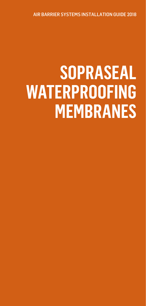<span id="page-14-0"></span>AIR BARRIER SYSTEMS INSTALLATION GUIDE 2018

# **SOPRASEAL WATERPROOFING MEMBRANES**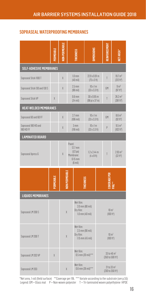## SOPRASEAL WATERPROOFING MEMBRANES

|                                          | <b>FRMEABL</b> |               | HICKNESS                                                                          | MENSIONS                                                   |  | NFORCEM<br>霞                                             | <b>IET AREA*</b>                             |  |
|------------------------------------------|----------------|---------------|-----------------------------------------------------------------------------------|------------------------------------------------------------|--|----------------------------------------------------------|----------------------------------------------|--|
| <b>SELF-ADHESIVE MEMBRANES</b>           |                |               |                                                                                   |                                                            |  |                                                          |                                              |  |
| Sopraseal Stick 1100 T                   |                | X             | $1.0 \text{ mm}$<br>$(40$ mil)                                                    | $22.9 \times 0.91 \text{ m}$<br>$(75 \times 3 \text{ ft})$ |  | T                                                        | $19.7 \text{ m}^2$<br>(212 ft <sup>2</sup> ) |  |
| Sopraseal Stick 130 and 130 S            |                | X             | $2.5$ mm<br>$(98$ mil)                                                            | $10 \times 1$ m<br>$(33 \times 3.3 \text{ ft})$            |  | GM                                                       | 9 <sup>2</sup><br>(97 ft <sup>2</sup> )      |  |
| Sopraseal Stick VP                       | X              |               | $0.6$ mm<br>$(24$ mil)                                                            | 30 x 0.95 m<br>(98 pi x 37 in)                             |  | T                                                        | $26.2 \text{ m}^2$<br>(281 ft <sup>2</sup> ) |  |
| <b>HEAT-WELDED MEMBRANES</b>             |                |               |                                                                                   |                                                            |  |                                                          |                                              |  |
| Sopraseal 60 and 60 FF                   |                | X             | $2.7$ mm<br>$(106 \text{ mil})$                                                   | $10 \times 1m$<br>$(33 \times 3.3 \text{ ft})$             |  | GM                                                       | $8.6 \text{ m}^2$<br>(92 ft <sup>2</sup> )   |  |
| Sopraseal 180 HD and<br><b>180 HD FF</b> |                | X             | $3 \, \text{mm}$<br>$(118 \text{ mil})$                                           | $10 \times 1$ m<br>$(33 \times 3.3 \text{ ft})$            |  | P                                                        | $9.5 \text{ m}^2$<br>(102 ft <sup>2</sup> )  |  |
| <b>LAMINATED BOARD</b>                   |                |               |                                                                                   |                                                            |  |                                                          |                                              |  |
| Sopraseal Xpress G                       |                | X             | Panel:<br>$12.7$ mm<br>$(1/2)$ po)<br>Membrane:<br>$0.15$ mm<br>$(6 \text{ mil})$ | $1.2 \times 2.44$ m<br>$(4 \times 8$ ft)                   |  | T                                                        | $2.93 \text{ m}^2$<br>(32 ft <sup>2</sup> )  |  |
|                                          | PERMEABLE      | ION-PERMEABLE |                                                                                   | <b>HICKNESS</b>                                            |  | <b>COVERAGE PER</b>                                      |                                              |  |
| <b>LIQUIDS MEMBRANES</b>                 |                |               |                                                                                   |                                                            |  |                                                          |                                              |  |
| Sopraseal LM 200 S                       |                | $\chi$        | Wet film:<br>Dry film:                                                            | 2.0 mm (80 mil)<br>$1.0$ mm (40 mil)                       |  | $10 \text{ m}^2$<br>(100 ft <sup>2</sup> )               |                                              |  |
| Sopraseal LM 200 T                       |                | X             | Wet film:<br>Dry film:                                                            | 2.3 mm (90 mil)<br>1.15 mm (45 mil)                        |  | $10 \text{ m}^2$<br>(100 ft <sup>2</sup> )               |                                              |  |
| Sopraseal LM 202 VP                      | X              |               | Wet film:                                                                         | $0.5$ mm (20 mil)***                                       |  | 33 to 46 m <sup>2</sup><br>(350 to 500 ft <sup>2</sup> ) |                                              |  |
| Sopraseal LM 203                         |                | $\chi$        | Wet film:                                                                         | $0.6$ mm (26 mil)***                                       |  | 21 to 33 m <sup>2</sup><br>(230 to 350 ft <sup>2</sup> ) |                                              |  |

\*Net area, 1 roll (field surface) \*\*Coverage per 19L \*\*\* Variate according to the substrate (see p.55) Legend: GM = Glass mat P = Non-woven polyester T = Tri-laminated woven polyethylene HPDE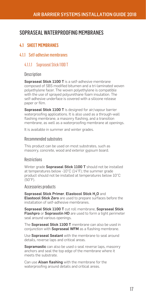# <span id="page-16-0"></span>SOPRASEAL WATERPROOFING MEMBRANES

# 4.1 SHEET MEMBRANES

## 4.1.1 Self-adhesive membranes

## 4.1.1.1 Sopraseal Stick 1100 T

#### **Description**

Sopraseal Stick 1100 T is a self-adhesive membrane composed of SBS modified bitumen and a tri-laminated woven polyethylene facer. The woven polyethylene is compatible with the use of sprayed polyurethane foam insulation. The self-adhesive underface is covered with a silicone release paper or film.

Sopraseal Stick 1100 T is designed for air/vapour barrier waterproofing applications. It is also used as a through-wall flashing membrane, a masonry flashing, and a transition membrane, as well as a waterproofing membrane at openings.

It is available in summer and winter grades.

#### Recommended substrates

This product can be used on most substrates, such as masonry, concrete, wood and exterior gypsum board.

### **Restrictions**

Winter grade Sopraseal Stick 1100 T should not be installed at temperatures below -10°C (14°F); the summer grade product should not be installed at temperatures below 10°C  $(50°F)$ .

Accessories products

Sopraseal Stick Primer, Elastocol Stick H<sub>2</sub>O and **Elastocol Stick Zero** are used to prepare surfaces before the installation of self-adhesive membranes.

Sopraseal Stick 1100 T cut roll membrane, Sopraseal Stick Flashpro or Soprasolin HD are used to form a tight perimeter seal around various openings.

The **Sopraseal Stick 1100 T** membrane can also be used in conjunction with **Sopraseal WFM** as a flashing membrane.

Use Sopraseal Sealant with the membrane to seal around details, reverse laps and critical areas.

**Sopramastic** can also be used o seal reverse laps, masonry anchors and seal the top edge of the membrane where it meets the substrate.

Can use Alsan flashing with the membrane for the waterproofing around details and critical areas.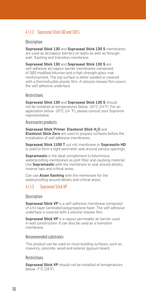# <span id="page-17-0"></span>4.1.1.2 Sopraseal Stick 130 and 130 S

### **Description**

Sopraseal Stick 130 and Sopraseal Stick 130 S membranes are used as air/vapour barriers on walls as well as throughwall flashing and transition membrane.

Sopraseal Stick 130 and Sopraseal Stick 130 S are self-adhesive air/vapour barrier membranes composed of SBS modified bitumen and a high strength glass mat reinforcement. The top surface is either sanded or covered with a thermofusible plastic film. A silicone release film covers the self-adhesive underface.

#### **Restrictions**

Sopraseal Stick 130 and Sopraseal Stick 130 S should not be installed at temperatures below -10°C (14°F). For an application below -10°C (14 °F), please consult your Soprema representative.

#### Accessories products

Sopraseal Stick Primer, Elastocol Stick H<sub>2</sub>O and Elastocol Stick Zero are used to prepare surfaces before the installation of self-adhesive membranes.

Sopraseal Stick 1100 T cut roll membrane or Soprasolin HD is used to form a tight perimeter seal around various openings.

Sopramastic is the ideal complement to bituminous waterproofing membranes as joint filler and caulking material. Use **Sopramastic** with the membrane to seal around details, reverse laps and critical areas.

Can use **Alsan flashing** with the membrane for the waterproofing around details and critical areas.

## 4.1.1.3 Sopraseal Stick VP

**Description** 

Sopraseal Stick VP is a self-adhesive membrane composed of a tri-layer laminated polypropylene facer. The self-adhesive underface is covered with a silicone release film.

Sopraseal Stick VP is a vapour permeable air barrier used in wall construction. It can also be used as a transition membrane.

#### Recommended substrates

This product can be used on most building surfaces, such as masonry, concrete, wood and exterior gypsum board.

#### **Restrictions**

Sopraseal Stick VP should not be installed at temperatures below -7°C (19°F).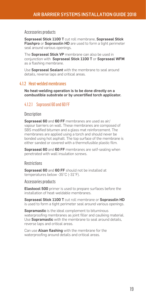#### <span id="page-18-0"></span>Accessories products

Sopraseal Stick 1100 T cut roll membrane, Sopraseal Stick Flashpro or Soprasolin HD are used to form a tight perimeter seal around various openings.

The Sopraseal Stick VP membrane can also be used in conjunction with Sopraseal Stick 1100 T or Sopraseal WFM as a flashing membrane.

Use Sopraseal Sealant with the membrane to seal around details, reverse laps and critical areas.

#### 4.1.2 Heat-welded membranes

No heat-welding operation is to be done directly on a combustible substrate or by uncertified torch applicator.

## 4.1.2.1 Sopraseal 60 and 60 FF

#### **Description**

Sopraseal 60 and 60 FF membranes are used as air/ vapour barriers on wall. These membranes are composed of SBS modified bitumen and a glass mat reinforcement. The membranes are applied using a torch and should never be bonded using hot asphalt. The top surface of the membrane is either sanded or covered with a thermofusible plastic film.

Sopraseal 60 and 60 FF membranes are self-sealing when penetrated with wall insulation screws.

#### **Restrictions**

Sopraseal 60 and 60 FF should not be installed at temperatures below -35°C (-31°F).

Accessories products

Elastocol 500 primer is used to prepare surfaces before the installation of heat-weldable membranes.

Sopraseal Stick 1100 T cut roll membrane or Soprasolin HD is used to form a tight perimeter seal around various openings.

Sopramastic is the ideal complement to bituminous waterproofing membranes as joint filler and caulking material. Use Sopramastic with the membrane to seal around details, reverse laps and critical areas.

Can use **Alsan flashing** with the membrane for the waterproofing around details and critical areas.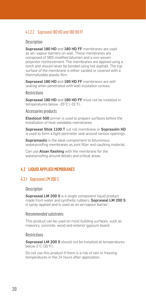## <span id="page-19-0"></span>4.1.2.2 Sopraseal 180 HD and 180 HD FF

### **Description**

Sopraseal 180 HD and 180 HD FF membranes are used as air/ vapour barriers on wall. These membranes are composed of SBS modified bitumen and a non-woven polyester reinforcement. The membranes are applied using a torch and should never be bonded using hot asphalt. The top surface of the membrane is either sanded or covered with a thermofusible plastic film.

Sopraseal 180 HD and 180 HD FF membranes are selfsealing when penetrated with wall insulation screws.

**Restrictions** 

Sopraseal 180 HD and 180 HD FF must not be installed in temperatures below -35°C (-31°F).

Accessories products

Elastocol 500 primer is used to prepare surfaces before the installation of heat-weldable membranes.

Sopraseal Stick 1100 T cut roll membrane or Soprasolin HD is used to form a tight perimeter seal around various openings.

Sopramastic is the ideal complement to bituminous waterproofing membranes as joint filler and caulking material.

Can use Alsan flashing with the membrane for the waterproofing around details and critical areas.

## 4.2 LIQUID APPLIED MEMBRANES

#### 4.2.1 Sopraseal LM 200 S

#### **Description**

Sopraseal LM 200 S is a single component liquid product made from water and synthetic rubbers. Sopraseal LM 200 S is spray-applied and is used as an air/vapour barrier.

#### Recommended substrates

This product can be used on most building surfaces, such as masonry, concrete, wood and exterior gypsum board.

#### **Restrictions**

Sopraseal LM 200 S should not be installed at temperatures below 2°C (35°F).

Do not use this product if there is a risk of rain or freezing temperatures in the 24 hours after application.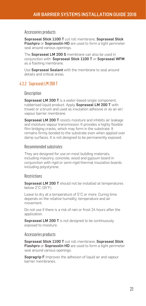#### <span id="page-20-0"></span>Accessories products

Sopraseal Stick 1100 T cut roll membrane, Sopraseal Stick Flashpro or Soprasolin HD are used to form a tight perimeter seal around various openings.

The Sopraseal LM 200 S membrane can also be used in conjunction with Sopraseal Stick 1100 T or Sopraseal WFM as a flashing membrane.

Use Sopraseal Sealant with the membrane to seal around details and critical areas.

## 4.2.2 Sopraseal LM 200 T

#### **Description**

Sopraseal LM 200 T is a water-based single component, rubberised liquid product. Apply Sopraseal LM 200 T with trowel or a brush and used as insulation adhesive or as an air/ vapour barrier membrane.

Sopraseal LM 200 T resists moisture and inhibits air leakage and moisture vapour transmission. It provides a highly flexible film bridging cracks, which may form in the substrate. It remains firmly bonded to the substrate even when applied over damp surfaces. It is not designed to be permanently exposed.

#### Recommended substrates

They are designed for use on most building materials, including masonry, concrete, wood and gypsum board in conjunction with rigid or semi-rigid thermal insulation boards including polystyrene.

#### **Restrictions**

Sopraseal LM 200 T should not be installed at temperatures below 2°C (35°F).

Leave to dry at a temperature of 5°C or more. Curing time depends on the relative humidity, temperature and air movement.

Do not use if there is a risk of rain or frost 24 hours after the application.

Sopraseal LM 200 T is not designed to be continuously exposed to moisture.

#### Accessories products

Sopraseal Stick 1100 T cut roll membrane, Sopraseal Stick Flashpro or Soprasolin HD are used to form a tight perimeter seal around various openings.

**Sopragrip F** improves the adhesion of liquid air and vapour barrier membranes.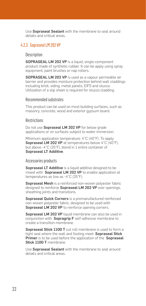<span id="page-21-0"></span>Use Sopraseal Sealant with the membrane to seal around details and critical areas.

#### 4.2.3 Sopraseal LM 202 VP

#### **Description**

SOPRASEAL LM 202 VP is a liquid, single-component product made of synthetic rubber. It can be apply using spray equipment, paint brushes or nap rollers.

SOPRASEAL LM 202 VP is used as a vapour permeable air barrier and provides moisture protection behind wall claddings including brick, siding, metal panels, EIFS and stucco. Utilization of a slip sheet is required for stucco cladding.

#### Recommended substrates

This product can be used on most building surfaces, such as masonry, concrete, wood and exterior gypsum board.

#### **Restrictions**

Do not use **Sopraseal LM 202 VP** for below grade applications or on surfaces subject to water immersion.

Minimum application temperature: 4°C (40°F). To apply Sopraseal LM 202 VP at temperatures below 4°C (40°F), but above -4°C (25°F), blend in 1 entire container of Sopraseal LT Additive.

#### Accessories products

Sopraseal LT Additive is a liquid additive designed to be mixed with **Sopraseal LM 202 VP** to enable application at temperatures as low as -4°C (25°F).

Sopraseal Mesh is a reinforced non-woven polyester fabric designed to reinforce Sopraseal LM 202 VP over openings, sheathing joints and transitions.

Sopraseal Quick Corners is a premanufactured reinforced non-woven polyester fabric, designed to be used with Sopraseal LM 202 VP to reinforce opening corners.

Sopraseal LM 202 VP liquid membrane can also be used in conjunction with Sopragrip F self-adhesive membrane to create a transition membrane.

Sopraseal Stick 1100 T cut roll membrane is used to form a tight seal where the wall and footing meet. Sopraseal Stick Primer is to be used before the application of the Sopraseal Stick 1100 T membrane.

Use Sopraseal Sealant with the membrane to seal around details and critical areas.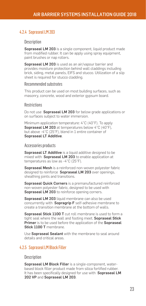## <span id="page-22-0"></span>4.2.4 Sopraseal LM 203

#### **Description**

Sopraseal LM 203 is a single component, liquid product made from modified rubber. It can be apply using spray equipment, paint brushes or nap rollers.

Sopraseal LM 203 is used as an air/vapour barrier and provides moisture protection behind wall claddings including brick, siding, metal panels, EIFS and stucco. Utilization of a slip sheet is required for stucco cladding.

#### Recommended substrates

This product can be used on most building surfaces, such as masonry, concrete, wood and exterior gypsum board.

#### **Restrictions**

Do not use **Sopraseal LM 203** for below grade applications or on surfaces subject to water immersion.

Minimum application temperature: 4°C (40°F). To apply Sopraseal LM 203 at temperatures below 4°C (40°F), but above -4°C (25°F), blend in 1 entire container of Sopraseal LT Additive.

#### Accessories products

Sopraseal LT Additive is a liquid additive designed to be mixed with **Sopraseal LM 203** to enable application at temperatures as low as -4°C (25°F).

Sopraseal Mesh is a reinforced non-woven polyester fabric designed to reinforce Sopraseal LM 203 over openings. sheathing joints and transitions.

Sopraseal Quick Corners is a premanufactured reinforced non-woven polyester fabric, designed to be used with Sopraseal LM 203 to reinforce opening corners.

Sopraseal LM 203 liquid membrane can also be used concurrently with **Sopragrip F** self-adhesive membrane to create a transition membrane at the bottom of walls.

Sopraseal Stick 1100 T cut roll membrane is used to form a tight seal where the wall and footing meet. Sopraseal Stick Primer is to be used before the application of the Sopraseal Stick 1100 T membrane.

Use Sopraseal Sealant with the membrane to seal around details and critical areas.

## 4.2.5 Sopraseal LM Block Filler

#### **Description**

Sopraseal LM Block Filler is a single-component, waterbased block filler product made from silica fortified rubber. It has been specifically designed for use with Sopraseal LM 202 VP and Sopraseal LM 203.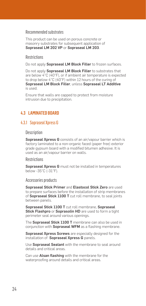## <span id="page-23-0"></span>Recommended substrates

This product can be used on porous concrete or masonry substrates for subsequent application of Sopraseal LM 202 VP or Sopraseal LM 203.

#### **Restrictions**

Do not apply Sopraseal LM Block Filler to frozen surfaces.

Do not apply Sopraseal LM Block Filler to substrates that are below 4°C (40°F), or if ambient air temperature is expected to drop below 4°C (40°F) within 12 hours of the curing of Sopraseal LM Block Filler, unless Sopraseal LT Additive is used.

Ensure that walls are capped to protect from moisture intrusion due to precipitation.

## 4.3 LAMINATED BOARD

#### 4.3.1 Sopraseal Xpress G

**Description** 

Sopraseal Xpress G consists of an air/vapour barrier which is factory laminated to a non-organic faced (paper free) exterior grade gypsum board with a modified bitumen adhesive. It is used as an air/vapour barrier on walls.

#### **Restrictions**

Sopraseal Xpress G must not be installed in temperatures below -35°C (-31°F).

#### Accessories products

Sopraseal Stick Primer and Elastocol Stick Zero are used to prepare surfaces before the installation of strip membranes of Sopraseal Stick 1100 T cut roll membrane, to seal joints between panels.

Sopraseal Stick 1100 T cut roll membrane, Sopraseal Stick Flashpro or Soprasolin HD are used to form a tight perimeter seal around various openings.

The **Sopraseal Stick 1100 T** membrane can also be used in conjunction with Sopraseal WFM as a flashing membrane.

Sopraseal Xpress Screws are especially designed for the installation of Sopraseal Xpress G panels.

Use Sopraseal Sealant with the membrane to seal around details and critical areas.

Can use Alsan flashing with the membrane for the waterproofing around details and critical areas.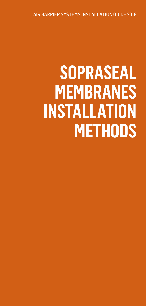<span id="page-24-0"></span>AIR BARRIER SYSTEMS INSTALLATION GUIDE 2018

# **SOPRASEAL MEMBRANES INSTALLATION METHODS**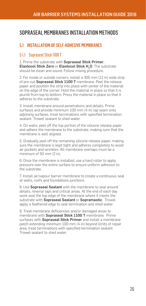# <span id="page-25-0"></span>SOPRASEAL MEMBRANES INSTALLATION METHODS

## 5.1 INSTALLATION OF SELF-ADHESIVE MEMBRANES

## 5.1.1 Sopraseal Stick 1100 T

1. Prime the substrate with Sopraseal Stick Primer, Elastocol Stick Zero or Elastocol Stick H<sub>2</sub>O. The substrate should be clean and sound. Follow mixing procedure.

2. For inside or outside corners, install a 305 mm (12 in) wide strip of pre-cut Sopraseal Stick 1100 T membrane. Peel the release paper and position the strip into place with center of the material on the edge of the corner. Hold the material in place so that it is plumb from top to bottom. Press the material in place so that it adheres to the substrate.

3. Install membrane around penetrations and details. Prime surfaces and provide minimum 100 mm (4 in) lap seam onto adjoining surfaces, treat terminations with specified termination sealant. Trowel sealant to shed water.

4. On walls, peel off the top portion of the silicone release paper and adhere the membrane to the substrate, making sure that the membrane is well aligned.

5. Gradually peel off the remaining silicone release paper, making sure the membrane is kept tight and adheres completely to avoid air pockets and wrinkles. All membrane overlaps must be a minimum of 50 mm (2 in).

6. Once the membrane is installed, use a hard roller to apply pressure over the entire surface to ensure uniform adhesion to the substrate.

7. Install air/vapour barrier membrane to create a continuous seal at walls, roofs and foundations junctions.

8. Use **Sopraseal Sealant** with the membrane to seal around details, reverse laps and critical areas. At the end of each day work seal the top edge of the membrane where it meets the substrate with Sopraseal Sealant or Sopramastic. Trowel apply a feathered edge to seal termination and shed water.

9. Treat membrane deficiencies and/or damaged areas to membrane with Sopraseal Stick 1100 T membrane. Prime surfaces with **Sopraseal Stick Primer** and install a membrane patch extending minimum 100 mm (4 in) beyond limits of repair area, treat terminations with specified termination sealant. Trowel sealant to shed water.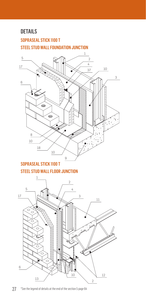# SOPRASEAL STICK 1100 T STEEL STUD WALL FOUNDATION JUNCTION



# SOPRASEAL STICK 1100 T STEEL STUD WALL FLOOR JUNCTION

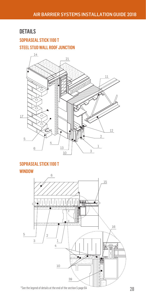# SOPRASEAL STICK 1100 T STEEL STUD WALL ROOF JUNCTION



# SOPRASEAL STICK 1100 T

#### WINDOW

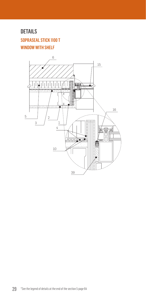SOPRASEAL STICK 1100 T WINDOW WITH SHELF

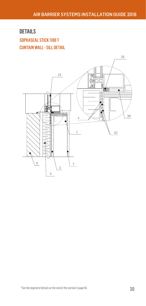# DETAILS SOPRASEAL STICK 1100 T CUNTAIN WALL - SILL DETAIL

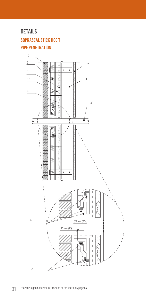# SOPRASEAL STICK 1100 T PIPE PENETRATION

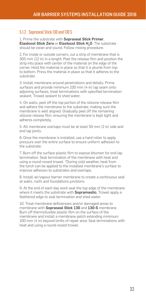## <span id="page-31-0"></span>5.1.2 Sopraseal Stick 130 and 130 S

1. Prime the substrate with Sopraseal Stick Primer, Elastocol Stick Zero or Elastocol Stick H<sub>2</sub>O. The substrate should be clean and sound. Follow mixing procedure.

2. For inside or outside corners, cut a strip of membrane that is 305 mm (12 in) in a lenght. Peel the release film and position the strip into place with center of the material on the edge of the corner. Hold the material in place so that it is plumb from top to bottom. Press the material in place so that it adheres to the substrate.

3. Install membrane around penetrations and details. Prime surfaces and provide minimum 100 mm (4 in) lap seam onto adjoining surfaces, treat terminations with specified termination sealant. Trowel sealant to shed water.

4. On walls, peel off the top portion of the silicone release film and adhere the membrane to the substrate, making sure the membrane is well aligned. Gradually peel off the remaining silicone release film, ensuring the membrane is kept tight and adheres completely.

5. All membrane overlaps must be at least 50 mm (2 in) side and end lap joints.

6. Once the membrane is installed, use a hard roller to apply pressure over the entire surface to ensure uniform adhesion to the substrate.

7. Burn off the surface plastic film to expose bitumen for end lap termination. Seal termination of the membrane with heat and using a round-nosed trowel. \*During cold weather, heat from the torch can be applied to the installed membrane's surface to improve adhesion to substrates and overlaps.

8. Install air/vapour barrier membrane to create a continuous seal at walls, roofs and foundations junctions.

9. At the end of each day work seal the top edge of the membrane where it meets the substrate with **Sopramastic.** Trowel apply a feathered edge to seal termination and shed water.

10. Treat membrane deficiencies and/or damaged areas to membrane with Sopraseal Stick 130 and 130-S membrane. Burn off thermofusible plastic film on the surface of the membrane and install a membrane patch extending minimum 100 mm (4 in) beyond limits of repair area. Seal terminations with heat and using a round-nozed trowel.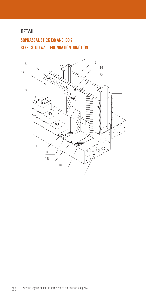# SOPRASEAL STICK 130 AND 130 S STEEL STUD WALL FOUNDATION JUNCTION

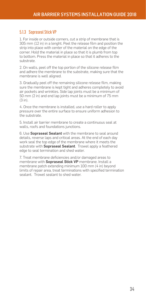## <span id="page-33-0"></span>5.1.3 Sopraseal Stick VP

1. For inside or outside corners, cut a strip of membrane that is 305 mm (12 in) in a lenght. Peel the release film and position the strip into place with center of the material on the edge of the corner. Hold the material in place so that it is plumb from top to bottom. Press the material in place so that it adheres to the substrate.

2. On walls, peel off the top portion of the silicone release film and adhere the membrane to the substrate, making sure that the membrane is well aligned.

3. Gradually peel off the remaining silicone release film, making sure the membrane is kept tight and adheres completely to avoid air pockets and wrinkles. Side lap joints must be a minimum of 50 mm (2 in) and end lap joints must be a minimum of 75 mm (3 in).

4. Once the membrane is installed, use a hard roller to apply pressure over the entire surface to ensure uniform adhesion to the substrate.

5. Install air barrier membrane to create a continuous seal at walls, roofs and foundations junctions.

6. Use Sopraseal Sealant with the membrane to seal around details, reverse laps and critical areas. At the end of each day work seal the top edge of the membrane where it meets the substrate with **Sopraseal Sealant**. Trowel apply a feathered edge to seal termination and shed water.

7. Treat membrane deficiencies and/or damaged areas to membrane with **Sopraseal Stick VP** membrane. Install a membrane patch extending minimum 100 mm (4 in) beyond limits of repair area, treat terminations with specified termination sealant. Trowel sealant to shed water.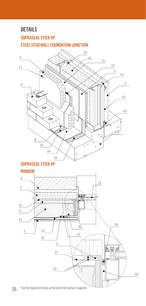# SOPRASEAL STICK VP STEEL STUD WALL FOUNDATION JUNCTION

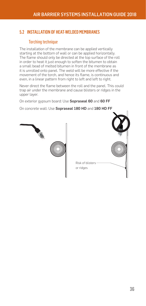# <span id="page-35-0"></span>5.2 INSTALLATION OF HEAT-WELDED MEMBRANES

## Torching technique

The installation of the membrane can be applied vertically starting at the bottom of wall or can be applied horizontally. The flame should only be directed at the top surface of the roll in order to heat it just enough to soften the bitumen to obtain a small bead of melted bitumen in front of the membrane as it is unrolled onto panel. The weld will be more effective if the movement of the torch, and hence its flame, is continuous and even, in a linear pattern from right to left and left to right.

Never direct the flame between the roll and the panel. This could trap air under the membrane and cause blisters or ridges in the upper layer.

On exterior gypsum board: Use Sopraseal 60 and 60 FF

On concrete wall: Use Sopraseal 180 HD and 180 HD FF



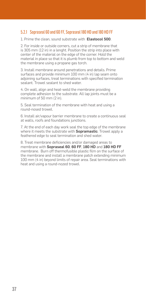## <span id="page-36-0"></span>5.2.1 Sopraseal 60 and 60 FF, Sopraseal 180 HD and 180 HD FF

1. Prime the clean, sound substrate with Elastocol 500.

2. For inside or outside corners, cut a strip of membrane that is 305 mm (12 in) in a lenght. Position the strip into place with center of the material on the edge of the corner. Hold the material in place so that it is plumb from top to bottom and weld the membrane using a propane gas torch.

3. Install membrane around penetrations and details. Prime surfaces and provide minimum 100 mm (4 in) lap seam onto adjoining surfaces, treat terminations with specified termination sealant. Trowel sealant to shed water.

4. On wall, align and heat-weld the membrane providing complete adhesion to the substrate. All lap joints must be a minimum of 50 mm (2 in).

5. Seal termination of the membrane with heat and using a round-nosed trowel.

6. Install air/vapour barrier membrane to create a continuous seal at walls, roofs and foundations junctions.

7. At the end of each day work seal the top edge of the membrane where it meets the substrate with **Sopramastic**. Trowel apply a feathered edge to seal termination and shed water.

8. Treat membrane deficiencies and/or damaged areas to membrane with Sopraseal 60, 60 FF, 180 HD and 180 HD FF membrane. Burn off thermofusible plastic film on the surface of the membrane and install a membrane patch extending minimum 100 mm (4 in) beyond limits of repair area. Seal terminations with heat and using a round-nozed trowel.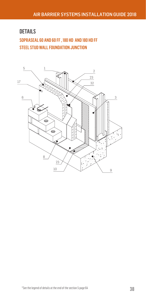# SOPRASEAL 60 AND 60 FF , 180 HD AND 180 HD FF STEEL STUD WALL FOUNDATION JUNCTION

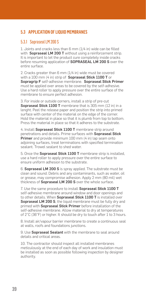# <span id="page-38-0"></span>5.3 APPLICATION OF LIQUID MEMBRANES

# 5.3.1 Sopraseal LM 200 S

1. Joints and cracks less than 6 mm (1/4 in) wide can be filled with Sopraseal LM 200 T without using a reinforcement strip. It is important to let the product cure completely inside cracks before resuming application of SOPRASEAL LM 200 S over the entire surface.

2. Cracks greater than 6 mm (1/4 in) wide must be covered with a  $100$  mm (4 in) strip of Sopraseal Stick 1100 T or Sopragrip F self-adhesive membrane. Sopraseal Stick Primer must be applied over areas to be covered by the self-adhesive. Use a hard roller to apply pressure over the entire surface of the membrane to ensure perfect adhesion.

3. For inside or outside corners, install a strip of pre-cut Sopraseal Stick 1100 T membrane that is 305 mm (12 in) in a lenght. Peel the release paper and position the strip into primed surface with center of the material on the edge of the corner. Hold the material in place so that it is plumb from top to bottom. Press the material in place so that it adheres to the substrate.

4. Install Sopraseal Stick 1100 T membrane strip around penetrations and details. Prime surfaces with Sopraseal Stick Primer and provide minimum 100 mm (4 in) lap seam onto adjoining surfaces, treat terminations with specified termination sealant. Trowel sealant to shed water.

5. Once the Sopraseal Stick 1100 T membrane strip is installed, use a hard roller to apply pressure over the entire surface to ensure uniform adhesion to the substrate.

6. Sopraseal LM 200 S is spray applied. The substrate must be clean and sound. Debris and any contaminants, such as water, oil or grease, may compromise adhesion. Apply 2 mm (80 mil) wet thickness of Sopraseal LM 200 S over the whole surface.

7. Use the same procedure to install Sopraseal Stick 1100 T self-adhesive membrane around window and door openings and to other details. When Sopraseal Stick 1100 T is installed over Sopraseal LM 200 S, the liquid membrane must be fully dry and primed with **Sopraseal Stick Primer** before installation of the self-adhesive membrane. Allow material to dry at temperatures of 2°C (36°F) or higher. It should be dry to touch after 1 to 3 hours.

8. Install air/vapour barrier membrane to create a continuous seal at walls, roofs and foundations junctions.

9. Use **Sopraseal Sealant** with the membrane to seal around details and critical areas.

10. The contractor should inspect all installed membranes meticulously at the end of each day of work and insulation must be installed as soon as possible following inspection by designer authority.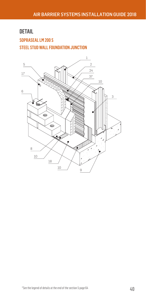# SOPRASEAL LM 200 S STEEL STUD WALL FOUNDATION JUNCTION

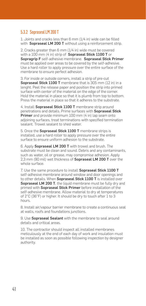# <span id="page-40-0"></span>5.3.2 Sopraseal LM 200 T

1. Joints and cracks less than 6 mm (1/4 in) wide can be filled with Sopraseal LM 200 T without using a reinforcement strip.

2. Cracks greater than 6 mm (1/4 in) wide must be covered with a 100 mm (4 in) strip of Sopraseal Stick 1100 T or Sopragrip F self-adhesive membrane. Sopraseal Stick Primer must be applied over areas to be covered by the self-adhesive. Use a hard roller to apply pressure over the entire surface of the membrane to ensure perfect adhesion.

3. For inside or outside corners, install a strip of pre-cut Sopraseal Stick 1100 T membrane that is 305 mm (12 in) in a lenght. Peel the release paper and position the strip into primed surface with center of the material on the edge of the corner. Hold the material in place so that it is plumb from top to bottom. Press the material in place so that it adheres to the substrate.

4. Install Sopraseal Stick 1100 T membrane strip around penetrations and details. Prime surfaces with Sopraseal Stick Primer and provide minimum 100 mm (4 in) lap seam onto adjoining surfaces, treat terminations with specified termination sealant. Trowel sealant to shed water.

5. Once the Sopraseal Stick 1100 T membrane strips is installed, use a hard roller to apply pressure over the entire surface to ensure uniform adhesion to the substrate.

6. Apply Sopraseal LM 200 T with trowel and brush. The substrate must be clean and sound. Debris and any contaminants, such as water, oil or grease, may compromise adhesion. Apply 2,3 mm (90 mil) wet thickness of Sopraseal LM 200 T over the whole surface.

7. Use the same procedure to install Sopraseal Stick 1100 T self-adhesive membrane around window and door openings and to other details. When Sopraseal Stick 1100 T is installed over Sopraseal LM 200 T, the liquid membrane must be fully dry and primed with **Sopraseal Stick Primer** before installation of the self-adhesive membrane. Allow material to dry at temperatures of 2°C (36°F) or higher. It should be dry to touch after 1 to 3 hours.

8. Install air/vapour barrier membrane to create a continuous seal at walls, roofs and foundations junctions.

9. Use Sopraseal Sealant with the membrane to seal around details and critical areas.

10. The contractor should inspect all installed membranes meticulously at the end of each day of work and insulation must be installed as soon as possible following inspection by designer authority.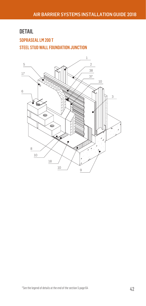# SOPRASEAL LM 200 T STEEL STUD WALL FOUNDATION JUNCTION

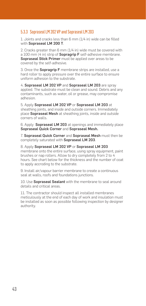## <span id="page-42-0"></span>5.3.3 Sopraseal LM 202 VP and Sopraseal LM 203

1. Joints and cracks less than 6 mm (1/4 in) wide can be filled with Sopraseal LM 200 T.

2. Cracks greater than 6 mm (1/4 in) wide must be covered with a 100 mm (4 in) strip of **Sopragrip F** self-adhesive membrane. Sopraseal Stick Primer must be applied over areas to be covered by the self-adhesive.

3. Once the Sopragrip F membrane strips are installed, use a hard roller to apply pressure over the entire surface to ensure uniform adhesion to the substrate.

4. Sopraseal LM 202 VP and Sopraseal LM 203 are spray applied. The substrate must be clean and sound. Debris and any contaminants, such as water, oil or grease, may compromise adhesion.

5. Apply Sopraseal LM 202 VP or Sopraseal LM 203 at sheathing joints, and inside and outside corners. Immediately place Sopraseal Mesh at sheathing joints, inside and outside corners of walls.

6. Apply Sopraseal LM 203 at openings and immediately place Sopraseal Quick Corner and Sopraseal Mesh.

7. Sopraseal Quick Corner and Sopraseal Mesh must then be completely saturated with Sopraseal LM 203.

8. Apply Sopraseal LM 202 VP or Sopraseal LM 203 membrane onto the entire surface, using spray equipment, paint brushes or nap rollers. Allow to dry completely from 2 to 4 hours. See chart below for the thickness and the number of coat to apply accroding to the substrate.

9. Install air/vapour barrier membrane to create a continuous seal at walls, roofs and foundations junctions.

10. Use Sopraseal Sealant with the membrane to seal around details and critical areas.

11. The contractor should inspect all installed membranes meticulously at the end of each day of work and insulation must be installed as soon as possible following inspection by designer authority.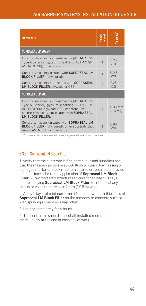<span id="page-43-0"></span>

| <b>SUBSTRATES</b>                                                                                                                                                                                              | <b>Vumber</b><br>of coat | hickness'                       |  |  |  |
|----------------------------------------------------------------------------------------------------------------------------------------------------------------------------------------------------------------|--------------------------|---------------------------------|--|--|--|
| SOPRASEAL LM 202 VP                                                                                                                                                                                            |                          |                                 |  |  |  |
| Exterior sheathing, cement-boards (ASTM C1325<br>Type A Exterior), gypsum sheathing (ASTM C79/<br>ASTM C1396), or concrete.                                                                                    | $\mathbf{1}$             | $0.25$ mm<br>$(10 \text{ mil})$ |  |  |  |
| Concrete/masonry treated with SOPRASEAL LM<br><b>BLOCK FILLER</b> (fully cured).                                                                                                                               | $\overline{1}$           | $0.50$ mm<br>$(20 \text{ mil})$ |  |  |  |
| Concrete/masonry not treated with SOPRASEAL<br>LM BLOCK FILLER, plywood or OSB.                                                                                                                                | $\overline{\phantom{a}}$ | $0.25$ mm<br>$(10 \text{ mil})$ |  |  |  |
| SOPRASEAL LM 203                                                                                                                                                                                               |                          |                                 |  |  |  |
| Exterior sheathing, cement-boards (ASTM C1325<br>Type A Exterior), gypsum sheathing (ASTM C79/<br>ASTM C1396), plywood, OSB, concrete, CMU,<br>concrete/masonry not treated with SOPRASEAL<br>LM BLOCK FILLER. | $\mathfrak{D}$           | $0.33$ mm<br>$(13 \text{ mil})$ |  |  |  |
| Concrete/masonry treated with SOPRASEAL LM<br>BLOCK FILLER (fully cured), other substrats that<br>meets ASTM C 1177 Standards.                                                                                 |                          | $0.66$ mm<br>$(26 \text{ mil})$ |  |  |  |

\* Thickness should be estimated with a wet film gauge while the product is still wet.

## 5.3.3.1 Sopraseal LM Block Filler

1. Verify that the substrate is flat, continuous and unbroken and that the masonry joints are struck flush or clean. Any missing or damaged mortar or block must be repaired or replaced to provide a flat surface prior to the application of Sopraseal LM Block Filler. Allow mortared structures to cure for at least 10 days before applying **Sopraseal LM Block Filler**. Point or seal any cracks or voids that are over 2 mm (1/16 in) wide.

2. Apply 1 layer of minimun 1 mm (40 mil) of wet film thickness of Sopraseal LM Block Filler on the masonry or concrete surface with spray equipment or a nap roller.

3. Let dry completely for 4 hours.

4. The contractor should inspect all installed membranes meticulously at the end of each day of work.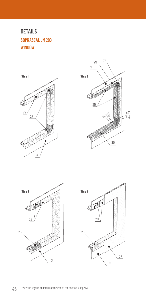# DETAILS SOPRASEAL LM 203 WINDOW







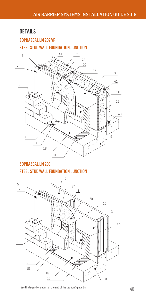# SOPRASEAL LM 202 VP STEEL STUD WALL FOUNDATION JUNCTION DETAILS



# SOPRASEAL LM 203 STEEL STUD WALL FOUNDATION JUNCTION

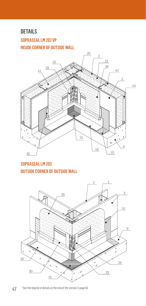# DETAILS SOPRASEAL LM 202 VP INSIDE CORNER OF OUTSIDE WALL



# SOPRASEAL LM 203 OUTSIDE CORNER OF OUTSIDE WALL



 \*See the legend of details at the end of the section 5 page 64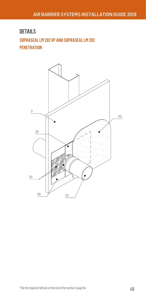# SOPRASEAL LM 202 VP AND SOPRASEAL LM 203 **PENETRATION** DETAILS

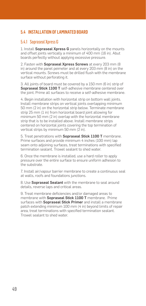# <span id="page-48-0"></span>5.4 INSTALLATION OF LAMINATED BOARD

# 5.4.1 Sopraseal Xpress G

1. Install **Sopraseal Xpress G** panels horizontally on the mounts and offset joints vertically a minimum of 400 mm (16 in). Abut boards perfectly without applying excessive pressure.

2. Fasten with **Sopraseal Xpress Screws** at every 203 mm (8) in) around the panel peimeter and at every 203 mm (8 in) on the vertical mounts. Screws must be drilled flush with the membrane surface without perforating it.

3. All joints of board must be covered by a 150 mm (6 in) strip of Sopraseal Stick 1100 T self-adhesive membrane centered over the joint. Prime all surfaces to receive a self-adhesive membrane.

4. Begin installation with horizontal strip on bottom wall joints. Install membrane strips on vertical joints overlapping minimum 50 mm (2 in) on the horizontal strip below. Terminate membrane strip 25 mm (1 in) from horizontal board joint allowing for minimum 50 mm (2 in) overlap with the horizontal membrane strip that is to be installed above. Install membrane strips centered on horizontal joints covering the top termination of vertical strips by minimum 50 mm (2 in).

5. Treat penetrations with Sopraseal Stick 1100 T membrane. Prime surfaces and provide minimum 4 inches (100 mm) lap seam onto adjoining surfaces, treat terminations with specified termination sealant. Trowel sealant to shed water.

6. Once the membrane is installed, use a hard roller to apply pressure over the entire surface to ensure uniform adhesion to the substrate.

7. Install air/vapour barrier membrane to create a continuous seal at walls, roofs and foundations junctions.

8. Use **Sopraseal Sealant** with the membrane to seal around details, reverse laps and critical areas.

9. Treat membrane deficiencies and/or damaged areas to membrane with **Sopraseal Stick 1100 T** membrane. Prime surfaces with Sopraseal Stick Primer and install a membrane patch extending minimum 100 mm (4 in) beyond limits of repair area, treat terminations with specified termination sealant. Trowel sealant to shed water.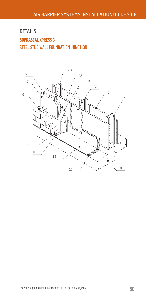# SOPRASEAL XPRESS G STEEL STUD WALL FOUNDATION JUNCTION DETAILS

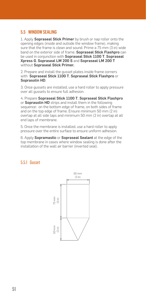## <span id="page-50-0"></span>5.5 WINDOW SEALING

1. Apply Sopraseal Stick Primer by brush or nap roller onto the opening edges (inside and outside the window frame), making sure that the frame is clean and sound. Prime a 75 mm (3 in) wide band on the exterior side of frame. Sopraseal Stick Flashpro can be used in conjunction with Sopraseal Stick 1100 T, Sopraseal Xpress G, Sopraseal LM 200 S and Sopraseal LM 200 T without Sopraseal Stick Primer.

2. Prepare and install the gusset plates inside frame corners with Sopraseal Stick 1100 T, Sopraseal Stick Flashpro or Soprasolin HD.

3. Once gussets are installed, use a hard roller to apply pressure over all gussets to ensure full adhesion.

4. Prepare Sopraseal Stick 1100 T, Sopraseal Stick Flashpro or Soprasolin HD strips and install them in the following sequence: on the bottom edge of frame, on both sides of frame and on the top edge of frame. Ensure minimum 50 mm (2 in) overlap at all side laps and minimum 50 mm (2 in) overlap at all end laps of membrane.

5. Once the membrane is installed, use a hard roller to apply pressure over the entire surface to ensure uniform adhesion.

6. Apply Sopramastic or Sopraseal Sealant at the edge of the top membrane in cases where window sealing is done after the installation of the wall air barrier (inverted seal).

## 5.5.1 Gusset

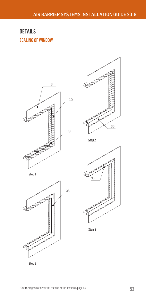36

# SEALING OF WINDOW DETAILS

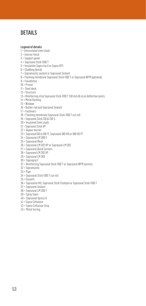#### Legend of details

- 1 = Uninsulated steel studs
- 2 = Interior finish
- 3 = Support panel
- 4 = Sopraseal Stick 1100 T
- 5 = Insulation Sopra-Iso V or Sopra-XPS
- 6 = Cladding (brick)
- 7 = Sopramastic sealant or Sopraseal Sealant
- 8 = Flashing membrane Sopraseal Stick 1100 T or Sopraseal WFM (optional)
- 9 = Foundation
- 10 = Primer
- 11 = Steel deck
- 12 = Structure
- 13 = Reinforcing strip Sopraseal Stick 1100 T 150 mm (6 in) at deflection joints.
- 14 = Metal flashing
- 15 = Window
- 16 = Backer rod and Sopraseal Sealant
- 17 = Fasteners
- 18 = Flashing membrane Sopraseal Stick 1100 T cut roll
- 19 = Sopraseal Stick 130 & 130-S
- 20 = Insulated Steel studs
- 21 = Sopraseal Stick VP
- 22 = Vapour barrier
- 23 = Sopraseal 60 or 60 FF, Sopraseal 180 HD or 180 HD FF
- 24 = Sopraseal LM 200 S
- 25 = Sopraseal Mesh
- 26 = Sopraseal LM 202 VP or Sopraseal LM 203
- 27 = Sopraseal Quick Corners
- 28 = Sopraseal LM 202 VP
- 29 = Sopraseal LM 203
- 30 = Sopragrip F
- 31 = Reinforcing Sopraseal Stick 1100 T or Sopraseal WFM (corner)
- 32 = Sopramastic
- $33 =$ Pipe
- 34 = Sopraseal Stick 1100 T cut roll
- 35 = Gussets
- 36 = Soprasolin HD, Sopraseal Stick Flashpro or Sopraseal Stick 1100 T
- 37 = Sopraseal Sealant
- 38 = Sopraseal LM 200 T
- 39 = Spray foam
- 40 = Sopraseal Xpress G
- 41 = Sopra-Cellulose
- 42 = Sopra-Cellulose Strip
- 43 = Metal furring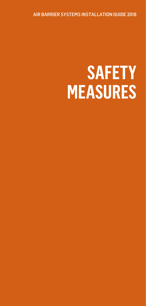<span id="page-53-0"></span>AIR BARRIER SYSTEMS INSTALLATION GUIDE 2018

# **SAFETY MEASURES**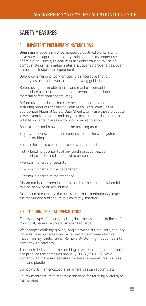# <span id="page-54-0"></span>SAFETY MEASURES

## 6.1 IMPORTANT PRELIMINARY INSTRUCTIONS

Soprema products must be applied by qualified workers who have received appropriate safety training (such as proper use of fire extinguishers) to deal with accidents caused by use of combustible or flammable materials, liquefied propane gas, open flames and installation equipment.

Before commencing work on site, it is imperative that all employees be made aware of the following guidelines.

Before using flammable liquids and mastics, consult the appropriate use instructions (labels, technical data sheets, material safety data sheets, etc.).

Before using products that may be dangerous to your health, including products containing volatile solvents, consult the appropriate Material Safety Data Sheets. Only use these products in well-ventilated areas and only use primers that do not contain volatile solvents in areas with poor or no ventilation.

Shut off fans and blowers near the torching area.

Identify the construction and composition of the wall systems before torching.

Ensure the site is clean and free of waste material.

Notify building occupants of any torching activities, as appropriate, including the following persons:

- Person in charge of security
- Person in charge of the department
- Person in charge of maintenance

Air/vapour barrier membranes should not be installed when it is raining, snowing or very humid.

At the end of each day, the contractor must meticulously inspect the membrane and ensure it is correctly installed.

## 6.2 TORCHING SPECIAL PRECAUTIONS

Follow the specifications, notices, documents, and guidelines of Provincial/Federal Workers Safety Standards.

Wear proper clothing: gloves, long sleeve shirts, trousers, security footwear, eye protection and a helmet. Do not wear clothing made from synthetic fabric. Remove all clothing that comes into contact with solvents.

The torch dedicated to the torching of waterproofing membranes can produce temperatures above 1,100°C (2,000°F). Avoid contact with materials sensitive to these temperatures, such as lead and plastic.

Do not work in an enclosed area where gas can accumulate.

Follow manufacturer's recommendations for torching-welding of membranes.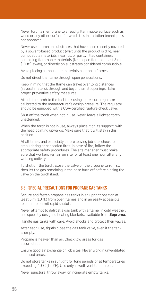<span id="page-55-0"></span>Never torch a membrane to a readily flammable surface such as wood or any other surface for which this installation technique is not approved.

Never use a torch on substrates that have been recently covered by a solvent-based product (wait until the product is dry), near combustible materials, near full or partly filled containers containing flammable materials (keep open flame at least 3 m [10 ft.] away), or directly on substrates considered combustible.

Avoid placing combustible materials near open flames.

Do not direct the flame through open penetrations.

Keep in mind that the flame can travel over long distances (several meters), through and beyond small openings. Take proper preventive safety measures.

Attach the torch to the fuel tank using a pressure regulator calibrated to the manufacturer's design pressure. The regulator should be equipped with a CSA-certified rupture check valve.

Shut off the torch when not in use. Never leave a lighted torch unattended.

When the torch is not in use, always place it on its support, with the head pointing upwards. Make sure that it will stay in this position.

At all times, and especially before leaving job site, check for smouldering or concealed fires. In case of fire, follow the appropriate safety procedures. The site manager must make sure that workers remain on site for at least one hour after any welding activity.

To shut off the torch, close the valve on the propane tank first, then let the gas remaining in the hose burn off before closing the valve on the torch itself.

### 6.3 SPECIAL PRECAUTIONS FOR PROPANE GAS TANKS

Secure and fasten propane gas tanks in an upright position at least 3 m (10 ft.) from open flames and in an easily accessible location to permit rapid shutoff.

Never attempt to defrost a gas tank with a flame. In cold weather, use specially designed heating blankets, available from Soprema.

Handle gas tanks with care. Avoid shocks and protect their valves.

After each use, tightly close the gas tank valve, even if the tank is empty.

Propane is heavier than air. Check low areas for gas accumulation.

Ensure good air exchange on job sites. Never work in unventilated enclosed areas.

Do not store tanks in sunlight for long periods or at temperatures exceeding 40°C (120°F). Use only in well-ventilated areas.

Never puncture, throw away, or incinerate empty tanks.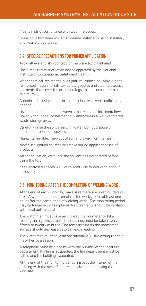<span id="page-56-0"></span>Maintain strict compliance with local fire codes.

Smoking is forbidden while flammable material is being installed, and near storage areas.

## 6.4 SPECIAL PRECAUTIONS FOR PRIMER APPLICATION

Avoid all eye and skin contact; primers are toxic if inhaled.

Use a respiratory protection device approved by the National Institute of Occupational Safety and Health.

Wear chemical-resistant gloves (natural rubber, polyvinyl alcohol reinforced, neoprene, nitrite), safety goggles and clean protective garments that cover the arms and legs, to keep exposure to a minimum.

Contain spills using an absorbent product (e.g., vermiculite, clay or sand).

Use non-sparking tools to sweep or collect spills into containers. Cover without sealing hermetically and store in a well-ventilated waste storage area.

Carefully rinse the spill area with water. Do not dispose of undiluted products in sewers.

Highly flammable. Keep out of sun and away from flames.

Never use ignition sources or smoke during application/use of products.

After application, wait until the solvent has evaporated before using the torch.

Keep enclosed spaces well-ventilated. Use forced ventilation if necessary.

#### 6.5 MONITORING AFTER THE COMPLETION OF WELDING WORK

At the end of each workday, make sure there are no smouldering fires. A watchman must remain at the worksite for at least one hour after the completion of welding work. (The monitoring period may be longer in certain places. Requirements should be verified with local authorities.)

The watchman must have an infrared thermometer to take readings in high-risk areas. The readings must be taken every fifteen to twenty minutes. The temperature on the membrane surface should decrease between each reading.

The watchman must have an operational ABC fire extinguisher in his or her possession.

A telephone must be close by with the number of the local fire department. If a fire is suspected, the fire department must be called and the building evacuated.

At the end of the monitoring period, inspect the interior of the building with the owner's representative before leaving the worksite.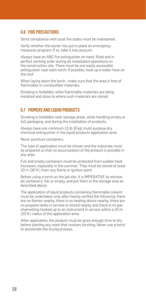## <span id="page-57-0"></span>6.6 FIRE PRECAUTIONS

Strict compliance with local fire codes must be maintained.

Verify whether the owner has put in place an emergency measures program; if so, take it into account.

Always have an ABC fire extinguisher on hand, filled and in perfect working order during all installation operations on the construction site. There must be one easily accessible extinguisher near each torch. If possible, hook up a water hose on the roof.

When laying down the torch , make sure that the area is free of flammable or combustible materials.

Smoking is forbidden while flammable materials are being installed and close to where such materials are stored.

## 6.7 PRIMERS AND LIQUID PRODUCTS

Smoking is forbidden near storage areas, while handling empty or full packaging, and during the installation of products.

Always have one minimum 13 lb (6 kg) multi-purpose dry chemical extinguisher in the liquid products application area.

Never puncture containers.

The type of application must be chosen and the substrate must be prepared so that no accumulation of the product is possible in any area.

Full and empty containers must be protected from sudden heat increases, especially in the summer. They must be stored at least 10 m (30 ft.) from any flame or ignition point.

Before using a torch on the job site, it is IMPERATIVE to retrieve all containers, full or empty, and put them in the storage area as described above.

The application of liquid products containing flammable solvent must be undertaken only after having verified the following: there are no flames nearby, there is no heating device nearby, there are no propane tanks in service or stored nearby and there is no gas channelling hooked up to an instrument in service within a 10 m (33 ft.) radius of the application area.

After application, the product must be given enough time to dry before starting any work that involves torching. Never use a torch to accelerate the drying process.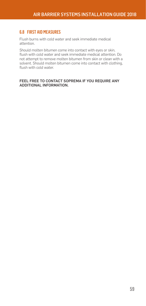## <span id="page-58-0"></span>6.8 FIRST AID MEASURES

Flush burns with cold water and seek immediate medical attention.

Should molten bitumen come into contact with eyes or skin, flush with cold water and seek immediate medical attention. Do not attempt to remove molten bitumen from skin or clean with a solvent. Should molten bitumen come into contact with clothing, flush with cold water.

#### FEEL FREE TO CONTACT SOPREMA IF YOU REQUIRE ANY ADDITIONAL INFORMATION.